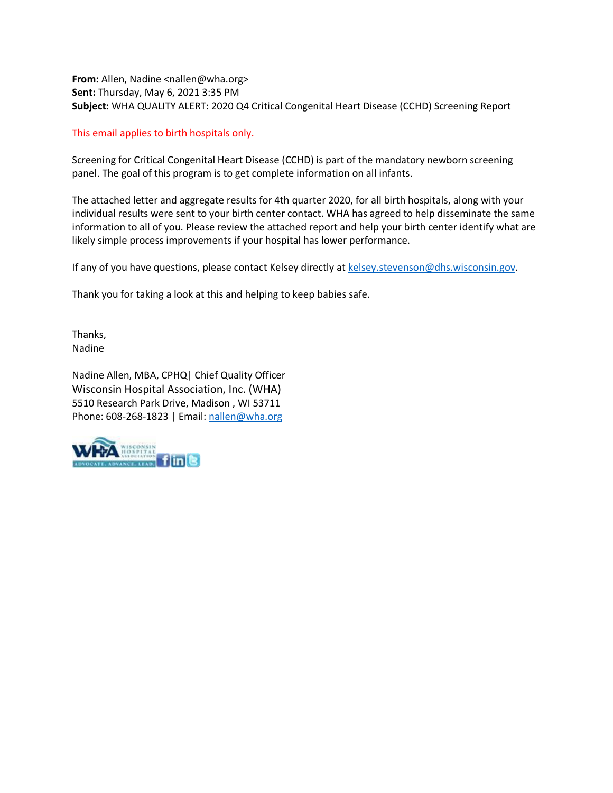**From:** Allen, Nadine <nallen@wha.org> **Sent:** Thursday, May 6, 2021 3:35 PM **Subject:** WHA QUALITY ALERT: 2020 Q4 Critical Congenital Heart Disease (CCHD) Screening Report

## This email applies to birth hospitals only.

Screening for Critical Congenital Heart Disease (CCHD) is part of the mandatory newborn screening panel. The goal of this program is to get complete information on all infants.

The attached letter and aggregate results for 4th quarter 2020, for all birth hospitals, along with your individual results were sent to your birth center contact. WHA has agreed to help disseminate the same information to all of you. Please review the attached report and help your birth center identify what are likely simple process improvements if your hospital has lower performance.

If any of you have questions, please contact Kelsey directly at [kelsey.stevenson@dhs.wisconsin.gov.](mailto:kelsey.stevenson@dhs.wisconsin.gov)

Thank you for taking a look at this and helping to keep babies safe.

Thanks, Nadine

Nadine Allen, MBA, CPHQ| Chief Quality Officer Wisconsin Hospital Association, Inc. (WHA) 5510 Research Park Drive, Madison , WI 53711 Phone: 608-268-1823 | Email[: nallen@wha.org](mailto:nallen@wha.org)

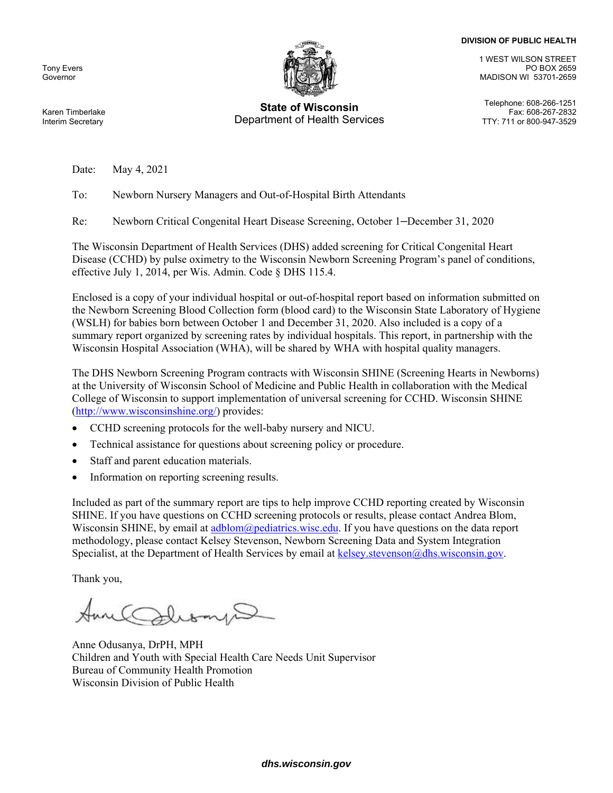#### **DIVISION OF PUBLIC HEALTH**

Tony Evers Governor



# **State of Wisconsin** Telephone: 608-266-1251 Department of Health Services

1 WEST WILSON STREET PO BOX 2659 MADISON WI 53701-2659

Fax: 608-267-2832<br>TTY: 711 or 800-947-3529

Karen Timberlake Interim Secretary

Date: May 4, 2021

To: Newborn Nursery Managers and Out-of-Hospital Birth Attendants

Re: Newborn Critical Congenital Heart Disease Screening, October 1–December 31, 2020

The Wisconsin Department of Health Services (DHS) added screening for Critical Congenital Heart Disease (CCHD) by pulse oximetry to the Wisconsin Newborn Screening Program's panel of conditions, effective July 1, 2014, per Wis. Admin. Code § DHS 115.4.

Enclosed is a copy of your individual hospital or out-of-hospital report based on information submitted on the Newborn Screening Blood Collection form (blood card) to the Wisconsin State Laboratory of Hygiene (WSLH) for babies born between October 1 and December 31, 2020. Also included is a copy of a summary report organized by screening rates by individual hospitals. This report, in partnership with the Wisconsin Hospital Association (WHA), will be shared by WHA with hospital quality managers.

The DHS Newborn Screening Program contracts with Wisconsin SHINE (Screening Hearts in Newborns) at the University of Wisconsin School of Medicine and Public Health in collaboration with the Medical College of Wisconsin to support implementation of universal screening for CCHD. Wisconsin SHINE (http://www.wisconsinshine.org/) provides:

- CCHD screening protocols for the well-baby nursery and NICU.
- Technical assistance for questions about screening policy or procedure.
- Staff and parent education materials.
- Information on reporting screening results.

Included as part of the summary report are tips to help improve CCHD reporting created by Wisconsin SHINE. If you have questions on CCHD screening protocols or results, please contact Andrea Blom, Wisconsin SHINE, by email at adblom@pediatrics.wisc.edu. If you have questions on the data report methodology, please contact Kelsey Stevenson, Newborn Screening Data and System Integration Specialist, at the Department of Health Services by email at kelsey.stevenson@dhs.wisconsin.gov.

Thank you,

Anne Odusanya, DrPH, MPH Children and Youth with Special Health Care Needs Unit Supervisor Bureau of Community Health Promotion Wisconsin Division of Public Health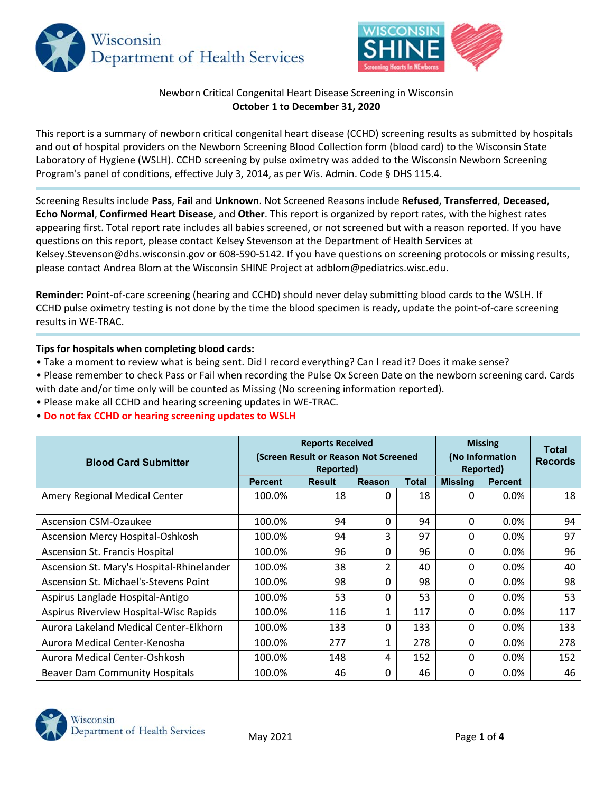



## Newborn Critical Congenital Heart Disease Screening in Wisconsin **October 1 to December 31, 2020**

This report is a summary of newborn critical congenital heart disease (CCHD) screening results as submitted by hospitals and out of hospital providers on the Newborn Screening Blood Collection form (blood card) to the Wisconsin State Laboratory of Hygiene (WSLH). CCHD screening by pulse oximetry was added to the Wisconsin Newborn Screening Program's panel of conditions, effective July 3, 2014, as per Wis. Admin. Code § DHS 115.4.

Screening Results include **Pass**, **Fail** and **Unknown**. Not Screened Reasons include **Refused**, **Transferred**, **Deceased**, **Echo Normal**, **Confirmed Heart Disease**, and **Other**. This report is organized by report rates, with the highest rates appearing first. Total report rate includes all babies screened, or not screened but with a reason reported. If you have questions on this report, please contact Kelsey Stevenson at the Department of Health Services at Kelsey.Stevenson@dhs.wisconsin.gov or 608‐590‐5142. If you have questions on screening protocols or missing results, please contact Andrea Blom at the Wisconsin SHINE Project at adblom@pediatrics.wisc.edu.

**Reminder:** Point‐of‐care screening (hearing and CCHD) should never delay submitting blood cards to the WSLH. If CCHD pulse oximetry testing is not done by the time the blood specimen is ready, update the point‐of‐care screening results in WE‐TRAC.

## **Tips for hospitals when completing blood cards:**

- Take a moment to review what is being sent. Did I record everything? Can I read it? Does it make sense?
- Please remember to check Pass or Fail when recording the Pulse Ox Screen Date on the newborn screening card. Cards with date and/or time only will be counted as Missing (No screening information reported).
- Please make all CCHD and hearing screening updates in WE‐TRAC.
- **Do not fax CCHD or hearing screening updates to WSLH**

| <b>Blood Card Submitter</b>               | <b>Reports Received</b><br>(Screen Result or Reason Not Screened<br>Reported) |               |                |              | <b>Missing</b><br>(No Information<br>Reported) | <b>Total</b><br><b>Records</b> |     |
|-------------------------------------------|-------------------------------------------------------------------------------|---------------|----------------|--------------|------------------------------------------------|--------------------------------|-----|
|                                           | <b>Percent</b>                                                                | <b>Result</b> | <b>Reason</b>  | <b>Total</b> | <b>Missing</b>                                 | <b>Percent</b>                 |     |
| Amery Regional Medical Center             | 100.0%                                                                        | 18            | 0              | 18           | <sup>0</sup>                                   | 0.0%                           | 18  |
| <b>Ascension CSM-Ozaukee</b>              | 100.0%                                                                        | 94            | 0              | 94           | 0                                              | 0.0%                           | 94  |
| <b>Ascension Mercy Hospital-Oshkosh</b>   | 100.0%                                                                        | 94            | 3              | 97           | 0                                              | 0.0%                           | 97  |
| Ascension St. Francis Hospital            | 100.0%                                                                        | 96            | 0              | 96           | 0                                              | 0.0%                           | 96  |
| Ascension St. Mary's Hospital-Rhinelander | 100.0%                                                                        | 38            | $\overline{2}$ | 40           | 0                                              | 0.0%                           | 40  |
| Ascension St. Michael's-Stevens Point     | 100.0%                                                                        | 98            | 0              | 98           | 0                                              | 0.0%                           | 98  |
| Aspirus Langlade Hospital-Antigo          | 100.0%                                                                        | 53            | 0              | 53           | 0                                              | 0.0%                           | 53  |
| Aspirus Riverview Hospital-Wisc Rapids    | 100.0%                                                                        | 116           | 1              | 117          | 0                                              | 0.0%                           | 117 |
| Aurora Lakeland Medical Center-Elkhorn    | 100.0%                                                                        | 133           | 0              | 133          | 0                                              | 0.0%                           | 133 |
| Aurora Medical Center-Kenosha             | 100.0%                                                                        | 277           | 1              | 278          | 0                                              | 0.0%                           | 278 |
| Aurora Medical Center-Oshkosh             | 100.0%                                                                        | 148           | 4              | 152          | 0                                              | 0.0%                           | 152 |
| <b>Beaver Dam Community Hospitals</b>     | 100.0%                                                                        | 46            | $\Omega$       | 46           | 0                                              | 0.0%                           | 46  |

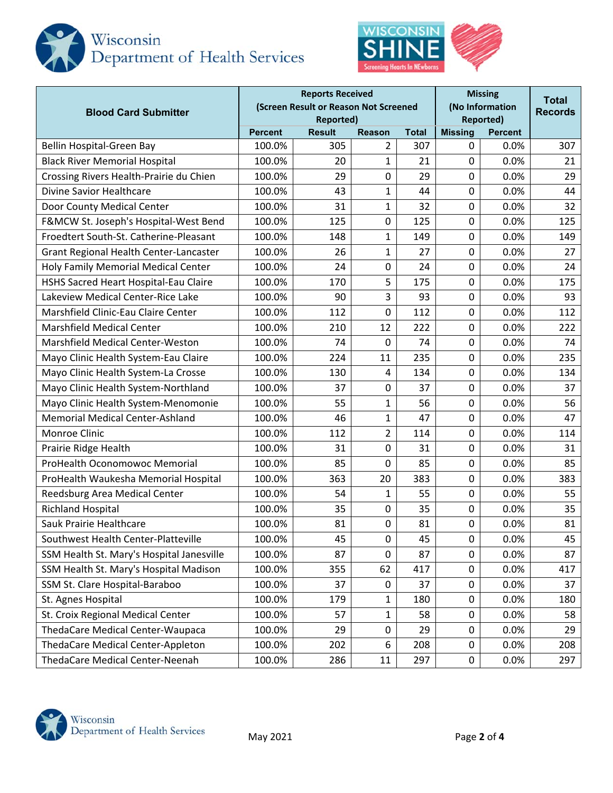



| <b>Blood Card Submitter</b>               | <b>Reports Received</b><br>(Screen Result or Reason Not Screened<br><b>Reported)</b> |                                |                |              |                                  | <b>Missing</b><br>(No Information<br><b>Reported)</b> |     |  |
|-------------------------------------------|--------------------------------------------------------------------------------------|--------------------------------|----------------|--------------|----------------------------------|-------------------------------------------------------|-----|--|
|                                           | <b>Percent</b>                                                                       | <b>Result</b><br><b>Reason</b> |                | <b>Total</b> | <b>Missing</b><br><b>Percent</b> |                                                       |     |  |
| Bellin Hospital-Green Bay                 | 100.0%                                                                               | 305                            | $\overline{2}$ | 307          | 0                                | 0.0%                                                  | 307 |  |
| <b>Black River Memorial Hospital</b>      | 100.0%                                                                               | 20                             | 1              | 21           | $\Omega$                         | 0.0%                                                  | 21  |  |
| Crossing Rivers Health-Prairie du Chien   | 100.0%                                                                               | 29                             | 0              | 29           | 0                                | 0.0%                                                  | 29  |  |
| Divine Savior Healthcare                  | 100.0%                                                                               | 43                             | 1              | 44           | 0                                | 0.0%                                                  | 44  |  |
| Door County Medical Center                | 100.0%                                                                               | 31                             | $\mathbf 1$    | 32           | 0                                | 0.0%                                                  | 32  |  |
| F&MCW St. Joseph's Hospital-West Bend     | 100.0%                                                                               | 125                            | 0              | 125          | 0                                | 0.0%                                                  | 125 |  |
| Froedtert South-St. Catherine-Pleasant    | 100.0%                                                                               | 148                            | 1              | 149          | 0                                | 0.0%                                                  | 149 |  |
| Grant Regional Health Center-Lancaster    | 100.0%                                                                               | 26                             | 1              | 27           | 0                                | 0.0%                                                  | 27  |  |
| Holy Family Memorial Medical Center       | 100.0%                                                                               | 24                             | 0              | 24           | 0                                | 0.0%                                                  | 24  |  |
| HSHS Sacred Heart Hospital-Eau Claire     | 100.0%                                                                               | 170                            | 5              | 175          | 0                                | 0.0%                                                  | 175 |  |
| Lakeview Medical Center-Rice Lake         | 100.0%                                                                               | 90                             | 3              | 93           | 0                                | 0.0%                                                  | 93  |  |
| Marshfield Clinic-Eau Claire Center       | 100.0%                                                                               | 112                            | 0              | 112          | 0                                | 0.0%                                                  | 112 |  |
| <b>Marshfield Medical Center</b>          | 100.0%                                                                               | 210                            | 12             | 222          | 0                                | 0.0%                                                  | 222 |  |
| Marshfield Medical Center-Weston          | 100.0%                                                                               | 74                             | 0              | 74           | 0                                | 0.0%                                                  | 74  |  |
| Mayo Clinic Health System-Eau Claire      | 100.0%                                                                               | 224                            | 11             | 235          | 0                                | 0.0%                                                  | 235 |  |
| Mayo Clinic Health System-La Crosse       | 100.0%                                                                               | 130                            | 4              | 134          | 0                                | 0.0%                                                  | 134 |  |
| Mayo Clinic Health System-Northland       | 100.0%                                                                               | 37                             | 0              | 37           | 0                                | 0.0%                                                  | 37  |  |
| Mayo Clinic Health System-Menomonie       | 100.0%                                                                               | 55                             | 1              | 56           | 0                                | 0.0%                                                  | 56  |  |
| <b>Memorial Medical Center-Ashland</b>    | 100.0%                                                                               | 46                             | 1              | 47           | 0                                | 0.0%                                                  | 47  |  |
| Monroe Clinic                             | 100.0%                                                                               | 112                            | $\overline{2}$ | 114          | 0                                | 0.0%                                                  | 114 |  |
| Prairie Ridge Health                      | 100.0%                                                                               | 31                             | 0              | 31           | 0                                | 0.0%                                                  | 31  |  |
| ProHealth Oconomowoc Memorial             | 100.0%                                                                               | 85                             | 0              | 85           | 0                                | 0.0%                                                  | 85  |  |
| ProHealth Waukesha Memorial Hospital      | 100.0%                                                                               | 363                            | 20             | 383          | 0                                | 0.0%                                                  | 383 |  |
| Reedsburg Area Medical Center             | 100.0%                                                                               | 54                             | 1              | 55           | $\mathbf 0$                      | 0.0%                                                  | 55  |  |
| <b>Richland Hospital</b>                  | 100.0%                                                                               | 35                             | 0              | 35           | 0                                | 0.0%                                                  | 35  |  |
| Sauk Prairie Healthcare                   | 100.0%                                                                               | 81                             | 0              | 81           | $\mathbf 0$                      | 0.0%                                                  | 81  |  |
| Southwest Health Center-Platteville       | 100.0%                                                                               | 45                             | 0              | 45           | 0                                | 0.0%                                                  | 45  |  |
| SSM Health St. Mary's Hospital Janesville | 100.0%                                                                               | 87                             | 0              | 87           | 0                                | 0.0%                                                  | 87  |  |
| SSM Health St. Mary's Hospital Madison    | 100.0%                                                                               | 355                            | 62             | 417          | 0                                | 0.0%                                                  | 417 |  |
| SSM St. Clare Hospital-Baraboo            | 100.0%                                                                               | 37                             | 0              | 37           | 0                                | 0.0%                                                  | 37  |  |
| St. Agnes Hospital                        | 100.0%                                                                               | 179                            | 1              | 180          | 0                                | 0.0%                                                  | 180 |  |
| St. Croix Regional Medical Center         | 100.0%                                                                               | 57                             | 1              | 58           | 0                                | 0.0%                                                  | 58  |  |
| ThedaCare Medical Center-Waupaca          | 100.0%                                                                               | 29                             | 0              | 29           | 0                                | 0.0%                                                  | 29  |  |
| ThedaCare Medical Center-Appleton         | 100.0%                                                                               | 202                            | 6              | 208          | 0                                | 0.0%                                                  | 208 |  |
| ThedaCare Medical Center-Neenah           | 100.0%                                                                               | 286                            | 11             | 297          | 0                                | 0.0%                                                  | 297 |  |

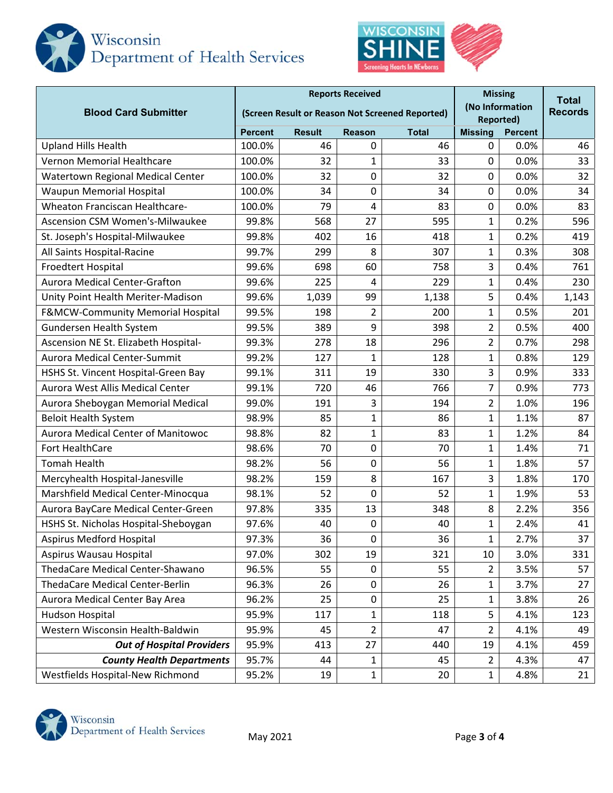



| <b>Blood Card Submitter</b>            | <b>Reports Received</b><br>(Screen Result or Reason Not Screened Reported) |               |                |              | <b>Missing</b><br>(No Information<br><b>Reported)</b> |      | <b>Total</b><br><b>Records</b> |
|----------------------------------------|----------------------------------------------------------------------------|---------------|----------------|--------------|-------------------------------------------------------|------|--------------------------------|
|                                        | <b>Percent</b>                                                             | <b>Result</b> | <b>Reason</b>  | <b>Total</b> | <b>Missing</b>                                        |      |                                |
| <b>Upland Hills Health</b>             | 100.0%                                                                     | 46            | 0              | 46           | 0                                                     | 0.0% | 46                             |
| Vernon Memorial Healthcare             | 100.0%                                                                     | 32            | 1              | 33           | $\mathbf 0$                                           | 0.0% | 33                             |
| Watertown Regional Medical Center      | 100.0%                                                                     | 32            | 0              | 32           | 0                                                     | 0.0% | 32                             |
| <b>Waupun Memorial Hospital</b>        | 100.0%                                                                     | 34            | 0              | 34           | 0                                                     | 0.0% | 34                             |
| Wheaton Franciscan Healthcare-         | 100.0%                                                                     | 79            | 4              | 83           | 0                                                     | 0.0% | 83                             |
| Ascension CSM Women's-Milwaukee        | 99.8%                                                                      | 568           | 27             | 595          | 1                                                     | 0.2% | 596                            |
| St. Joseph's Hospital-Milwaukee        | 99.8%                                                                      | 402           | 16             | 418          | 1                                                     | 0.2% | 419                            |
| All Saints Hospital-Racine             | 99.7%                                                                      | 299           | 8              | 307          | 1                                                     | 0.3% | 308                            |
| Froedtert Hospital                     | 99.6%                                                                      | 698           | 60             | 758          | 3                                                     | 0.4% | 761                            |
| <b>Aurora Medical Center-Grafton</b>   | 99.6%                                                                      | 225           | 4              | 229          | 1                                                     | 0.4% | 230                            |
| Unity Point Health Meriter-Madison     | 99.6%                                                                      | 1,039         | 99             | 1,138        | 5                                                     | 0.4% | 1,143                          |
| F&MCW-Community Memorial Hospital      | 99.5%                                                                      | 198           | $\overline{2}$ | 200          | 1                                                     | 0.5% | 201                            |
| Gundersen Health System                | 99.5%                                                                      | 389           | 9              | 398          | 2                                                     | 0.5% | 400                            |
| Ascension NE St. Elizabeth Hospital-   | 99.3%                                                                      | 278           | 18             | 296          | $\overline{2}$                                        | 0.7% | 298                            |
| Aurora Medical Center-Summit           | 99.2%                                                                      | 127           | $\mathbf{1}$   | 128          | 1                                                     | 0.8% | 129                            |
| HSHS St. Vincent Hospital-Green Bay    | 99.1%                                                                      | 311           | 19             | 330          | 3                                                     | 0.9% | 333                            |
| Aurora West Allis Medical Center       | 99.1%                                                                      | 720           | 46             | 766          | 7                                                     | 0.9% | 773                            |
| Aurora Sheboygan Memorial Medical      | 99.0%                                                                      | 191           | 3              | 194          | $\overline{2}$                                        | 1.0% | 196                            |
| <b>Beloit Health System</b>            | 98.9%                                                                      | 85            | $\mathbf{1}$   | 86           | 1                                                     | 1.1% | 87                             |
| Aurora Medical Center of Manitowoc     | 98.8%                                                                      | 82            | $\mathbf{1}$   | 83           | $\mathbf{1}$                                          | 1.2% | 84                             |
| Fort HealthCare                        | 98.6%                                                                      | 70            | $\mathbf 0$    | 70           | $\mathbf{1}$                                          | 1.4% | 71                             |
| <b>Tomah Health</b>                    | 98.2%                                                                      | 56            | $\mathbf 0$    | 56           | $\mathbf{1}$                                          | 1.8% | 57                             |
| Mercyhealth Hospital-Janesville        | 98.2%                                                                      | 159           | 8              | 167          | 3                                                     | 1.8% | 170                            |
| Marshfield Medical Center-Minocqua     | 98.1%                                                                      | 52            | 0              | 52           | $\mathbf{1}$                                          | 1.9% | 53                             |
| Aurora BayCare Medical Center-Green    | 97.8%                                                                      | 335           | 13             | 348          | 8                                                     | 2.2% | 356                            |
| HSHS St. Nicholas Hospital-Sheboygan   | 97.6%                                                                      | 40            | 0              | 40           | 1                                                     | 2.4% | 41                             |
| <b>Aspirus Medford Hospital</b>        | 97.3%                                                                      | 36            | 0              | 36           | 1                                                     | 2.7% | 37                             |
| Aspirus Wausau Hospital                | 97.0%                                                                      | 302           | 19             | 321          | 10                                                    | 3.0% | 331                            |
| ThedaCare Medical Center-Shawano       | 96.5%                                                                      | 55            | 0              | 55           | 2                                                     | 3.5% | 57                             |
| <b>ThedaCare Medical Center-Berlin</b> | 96.3%                                                                      | 26            | 0              | 26           | 1                                                     | 3.7% | 27                             |
| Aurora Medical Center Bay Area         | 96.2%                                                                      | 25            | 0              | 25           | 1                                                     | 3.8% | 26                             |
| Hudson Hospital                        | 95.9%                                                                      | 117           | 1              | 118          | 5                                                     | 4.1% | 123                            |
| Western Wisconsin Health-Baldwin       | 95.9%                                                                      | 45            | $\overline{2}$ | 47           | 2                                                     | 4.1% | 49                             |
| <b>Out of Hospital Providers</b>       | 95.9%                                                                      | 413           | 27             | 440          | 19                                                    | 4.1% | 459                            |
| <b>County Health Departments</b>       | 95.7%                                                                      | 44            | $\mathbf{1}$   | 45           | $\overline{2}$                                        | 4.3% | 47                             |
| Westfields Hospital-New Richmond       | 95.2%                                                                      | 19            | $\mathbf{1}$   | 20           | $\mathbf{1}$                                          | 4.8% | 21                             |